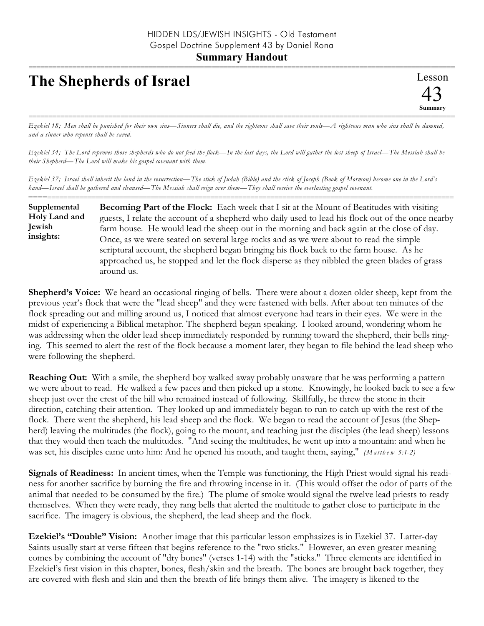## **The Shepherds of Israel**

=========================================================================================================== *Ezekiel 18; Men shall be punished for their own sins—Sinners shall die, and the righteous shall save their souls—A righteous man who sins shall be damned, and a sinner who repents shall be saved.*

*Ezekiel 34; The Lord reproves those shepherds who do not feed the flock—In the last days, the Lord will gather the lost sheep of Israel—The Messiah shall be their Shepherd—The Lord will make his gospel covenant with them.*

*Ezekiel 37; Israel shall inherit the land in the resurrection—The stick of Judah (Bible) and the stick of Joseph (Book of Mormon) become one in the Lord's hand—Israel shall be gathered and cleansed—The Messiah shall reign over them—They shall receive the everlasting gospel covenant.*

========================================================================================================== **Becoming Part of the Flock:** Each week that I sit at the Mount of Beatitudes with visiting guests, I relate the account of a shepherd who daily used to lead his flock out of the once nearby farm house. He would lead the sheep out in the morning and back again at the close of day. Once, as we were seated on several large rocks and as we were about to read the simple scriptural account, the shepherd began bringing his flock back to the farm house. As he approached us, he stopped and let the flock disperse as they nibbled the green blades of grass around us. **Supplemental Holy Land and Jewish insights:**

**Shepherd's Voice:** We heard an occasional ringing of bells. There were about a dozen older sheep, kept from the previous year's flock that were the "lead sheep" and they were fastened with bells. After about ten minutes of the flock spreading out and milling around us, I noticed that almost everyone had tears in their eyes. We were in the midst of experiencing a Biblical metaphor. The shepherd began speaking. I looked around, wondering whom he was addressing when the older lead sheep immediately responded by running toward the shepherd, their bells ringing. This seemed to alert the rest of the flock because a moment later, they began to file behind the lead sheep who were following the shepherd.

**Reaching Out:** With a smile, the shepherd boy walked away probably unaware that he was performing a pattern we were about to read. He walked a few paces and then picked up a stone. Knowingly, he looked back to see a few sheep just over the crest of the hill who remained instead of following. Skillfully, he threw the stone in their direction, catching their attention. They looked up and immediately began to run to catch up with the rest of the flock. There went the shepherd, his lead sheep and the flock. We began to read the account of Jesus (the Shepherd) leaving the multitudes (the flock), going to the mount, and teaching just the disciples (the lead sheep) lessons that they would then teach the multitudes. "And seeing the multitudes, he went up into a mountain: and when he was set, his disciples came unto him: And he opened his mouth, and taught them, saying," *(Matthew 5:1-2)* 

**Signals of Readiness:** In ancient times, when the Temple was functioning, the High Priest would signal his readiness for another sacrifice by burning the fire and throwing incense in it. (This would offset the odor of parts of the animal that needed to be consumed by the fire.) The plume of smoke would signal the twelve lead priests to ready themselves. When they were ready, they rang bells that alerted the multitude to gather close to participate in the sacrifice. The imagery is obvious, the shepherd, the lead sheep and the flock.

**Ezekiel's "Double" Vision:** Another image that this particular lesson emphasizes is in Ezekiel 37. Latter-day Saints usually start at verse fifteen that begins reference to the "two sticks." However, an even greater meaning comes by combining the account of "dry bones" (verses 1-14) with the "sticks." Three elements are identified in Ezekiel's first vision in this chapter, bones, flesh/skin and the breath. The bones are brought back together, they are covered with flesh and skin and then the breath of life brings them alive. The imagery is likened to the